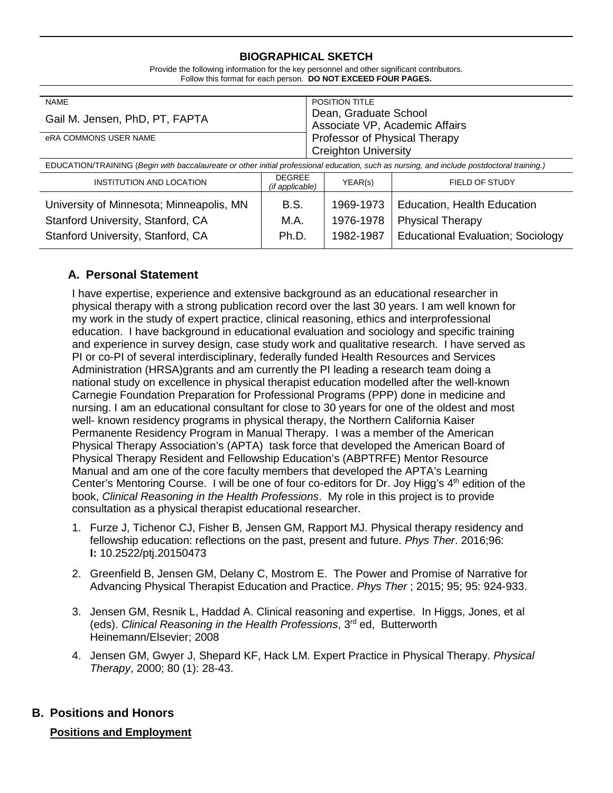## **BIOGRAPHICAL SKETCH**

| Provide the following information for the key personnel and other significant contributors. |
|---------------------------------------------------------------------------------------------|
| Follow this format for each person. DO NOT EXCEED FOUR PAGES.                               |

| <b>NAME</b>                                                                                                                                |                                  | <b>POSITION TITLE</b>                                        |                                                               |  |
|--------------------------------------------------------------------------------------------------------------------------------------------|----------------------------------|--------------------------------------------------------------|---------------------------------------------------------------|--|
| Gail M. Jensen, PhD, PT, FAPTA                                                                                                             |                                  | Dean, Graduate School<br>Associate VP, Academic Affairs      |                                                               |  |
| eRA COMMONS USER NAME                                                                                                                      |                                  | Professor of Physical Therapy<br><b>Creighton University</b> |                                                               |  |
| EDUCATION/TRAINING (Begin with baccalaureate or other initial professional education, such as nursing, and include postdoctoral training.) |                                  |                                                              |                                                               |  |
| INSTITUTION AND LOCATION                                                                                                                   | <b>DEGREE</b><br>(if applicable) | YEAR(s)                                                      | FIELD OF STUDY                                                |  |
| University of Minnesota; Minneapolis, MN<br>Stanford University, Stanford, CA                                                              | <b>B.S.</b><br>M.A.              | 1969-1973<br>1976-1978                                       | <b>Education, Health Education</b><br><b>Physical Therapy</b> |  |
| Stanford University, Stanford, CA                                                                                                          | Ph.D.                            | 1982-1987                                                    | <b>Educational Evaluation; Sociology</b>                      |  |

# **A. Personal Statement**

I have expertise, experience and extensive background as an educational researcher in physical therapy with a strong publication record over the last 30 years. I am well known for my work in the study of expert practice, clinical reasoning, ethics and interprofessional education. I have background in educational evaluation and sociology and specific training and experience in survey design, case study work and qualitative research. I have served as PI or co-PI of several interdisciplinary, federally funded Health Resources and Services Administration (HRSA)grants and am currently the PI leading a research team doing a national study on excellence in physical therapist education modelled after the well-known Carnegie Foundation Preparation for Professional Programs (PPP) done in medicine and nursing. I am an educational consultant for close to 30 years for one of the oldest and most well- known residency programs in physical therapy, the Northern California Kaiser Permanente Residency Program in Manual Therapy. I was a member of the American Physical Therapy Association's (APTA) task force that developed the American Board of Physical Therapy Resident and Fellowship Education's (ABPTRFE) Mentor Resource Manual and am one of the core faculty members that developed the APTA's Learning Center's Mentoring Course. I will be one of four co-editors for Dr. Joy Higg's  $4<sup>th</sup>$  edition of the book, *Clinical Reasoning in the Health Professions*. My role in this project is to provide consultation as a physical therapist educational researcher.

- 1. Furze J, Tichenor CJ, Fisher B, Jensen GM, Rapport MJ. Physical therapy residency and fellowship education: reflections on the past, present and future. *Phys Ther*. 2016;96: **I:** 10.2522/ptj.20150473
- 2. Greenfield B, Jensen GM, Delany C, Mostrom E. The Power and Promise of Narrative for Advancing Physical Therapist Education and Practice. *Phys Ther* ; 2015; 95; 95: 924-933.
- 3. Jensen GM, Resnik L, Haddad A. Clinical reasoning and expertise. In Higgs, Jones, et al (eds). *Clinical Reasoning in the Health Professions*, 3rd ed, Butterworth Heinemann/Elsevier; 2008
- 4. Jensen GM, Gwyer J, Shepard KF, Hack LM. Expert Practice in Physical Therapy. *Physical Therapy*, 2000; 80 (1): 28-43.

# **B. Positions and Honors**

## **Positions and Employment**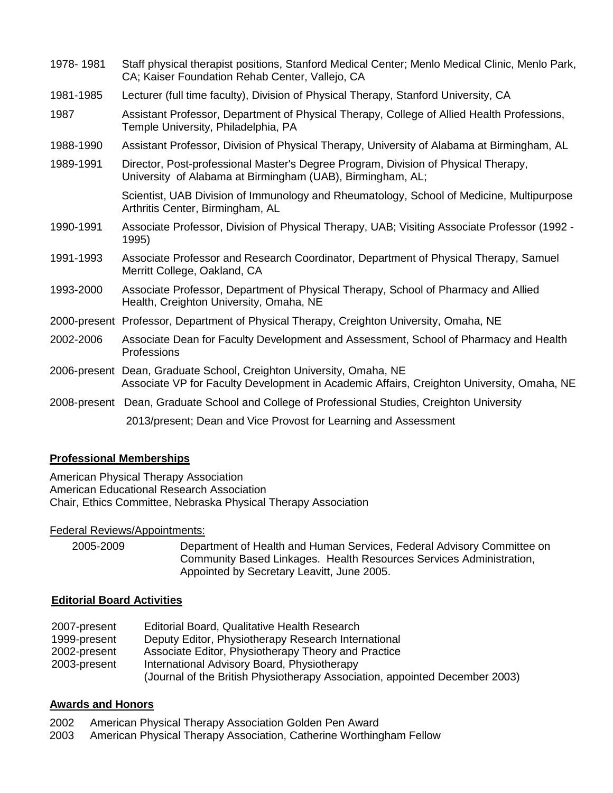| 1978-1981 | Staff physical therapist positions, Stanford Medical Center; Menlo Medical Clinic, Menlo Park,<br>CA; Kaiser Foundation Rehab Center, Vallejo, CA                |
|-----------|------------------------------------------------------------------------------------------------------------------------------------------------------------------|
| 1981-1985 | Lecturer (full time faculty), Division of Physical Therapy, Stanford University, CA                                                                              |
| 1987      | Assistant Professor, Department of Physical Therapy, College of Allied Health Professions,<br>Temple University, Philadelphia, PA                                |
| 1988-1990 | Assistant Professor, Division of Physical Therapy, University of Alabama at Birmingham, AL                                                                       |
| 1989-1991 | Director, Post-professional Master's Degree Program, Division of Physical Therapy,<br>University of Alabama at Birmingham (UAB), Birmingham, AL;                 |
|           | Scientist, UAB Division of Immunology and Rheumatology, School of Medicine, Multipurpose<br>Arthritis Center, Birmingham, AL                                     |
| 1990-1991 | Associate Professor, Division of Physical Therapy, UAB; Visiting Associate Professor (1992 -<br>1995)                                                            |
| 1991-1993 | Associate Professor and Research Coordinator, Department of Physical Therapy, Samuel<br>Merritt College, Oakland, CA                                             |
| 1993-2000 | Associate Professor, Department of Physical Therapy, School of Pharmacy and Allied<br>Health, Creighton University, Omaha, NE                                    |
|           | 2000-present Professor, Department of Physical Therapy, Creighton University, Omaha, NE                                                                          |
| 2002-2006 | Associate Dean for Faculty Development and Assessment, School of Pharmacy and Health<br>Professions                                                              |
|           | 2006-present Dean, Graduate School, Creighton University, Omaha, NE<br>Associate VP for Faculty Development in Academic Affairs, Creighton University, Omaha, NE |
|           | 2008-present Dean, Graduate School and College of Professional Studies, Creighton University                                                                     |
|           | 2013/present; Dean and Vice Provost for Learning and Assessment                                                                                                  |

## **Professional Memberships**

American Physical Therapy Association American Educational Research Association Chair, Ethics Committee, Nebraska Physical Therapy Association

## Federal Reviews/Appointments:

2005-2009 Department of Health and Human Services, Federal Advisory Committee on Community Based Linkages. Health Resources Services Administration, Appointed by Secretary Leavitt, June 2005.

#### **Editorial Board Activities**

| 2007-present | Editorial Board, Qualitative Health Research                                |
|--------------|-----------------------------------------------------------------------------|
| 1999-present | Deputy Editor, Physiotherapy Research International                         |
| 2002-present | Associate Editor, Physiotherapy Theory and Practice                         |
| 2003-present | International Advisory Board, Physiotherapy                                 |
|              | (Journal of the British Physiotherapy Association, appointed December 2003) |

#### **Awards and Honors**

- 2002 American Physical Therapy Association Golden Pen Award
- 2003 American Physical Therapy Association, Catherine Worthingham Fellow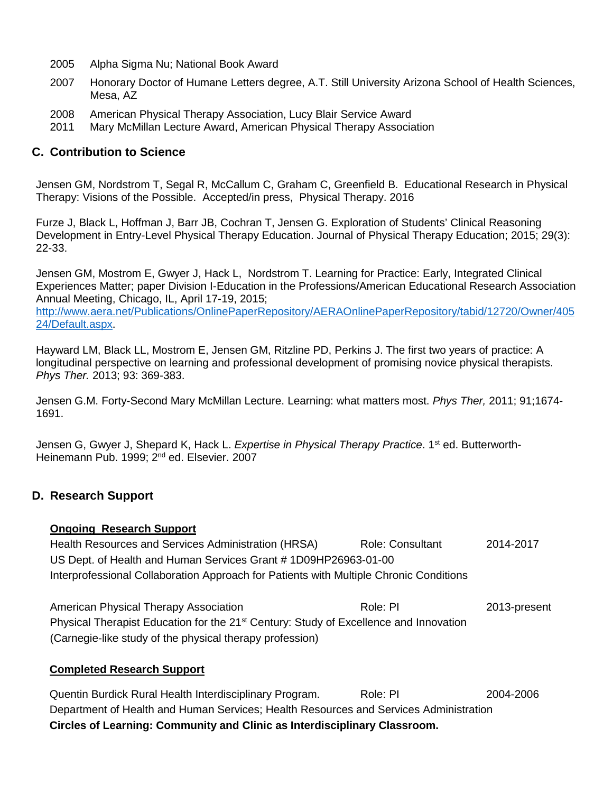- 2005 Alpha Sigma Nu; National Book Award
- 2007 Honorary Doctor of Humane Letters degree, A.T. Still University Arizona School of Health Sciences, Mesa, AZ
- 2008 American Physical Therapy Association, Lucy Blair Service Award
- 2011 Mary McMillan Lecture Award, American Physical Therapy Association

## **C. Contribution to Science**

Jensen GM, Nordstrom T, Segal R, McCallum C, Graham C, Greenfield B. Educational Research in Physical Therapy: Visions of the Possible. Accepted/in press, Physical Therapy. 2016

Furze J, Black L, Hoffman J, Barr JB, Cochran T, Jensen G. Exploration of Students' Clinical Reasoning Development in Entry-Level Physical Therapy Education. Journal of Physical Therapy Education; 2015; 29(3): 22-33.

Jensen GM, Mostrom E, Gwyer J, Hack L, Nordstrom T. Learning for Practice: Early, Integrated Clinical Experiences Matter; paper Division I-Education in the Professions/American Educational Research Association Annual Meeting, Chicago, IL, April 17-19, 2015; [http://www.aera.net/Publications/OnlinePaperRepository/AERAOnlinePaperRepository/tabid/12720/Owner/405](http://www.aera.net/Publications/OnlinePaperRepository/AERAOnlinePaperRepository/tabid/12720/Owner/40524/Default.aspx)

[24/Default.aspx.](http://www.aera.net/Publications/OnlinePaperRepository/AERAOnlinePaperRepository/tabid/12720/Owner/40524/Default.aspx)

Hayward LM, Black LL, Mostrom E, Jensen GM, Ritzline PD, Perkins J. The first two years of practice: A longitudinal perspective on learning and professional development of promising novice physical therapists. *Phys Ther.* 2013; 93: 369-383.

Jensen G.M. Forty-Second Mary McMillan Lecture. Learning: what matters most. *Phys Ther,* 2011; 91;1674- 1691.

Jensen G, Gwyer J, Shepard K, Hack L. *Expertise in Physical Therapy Practice*. 1<sup>st</sup> ed. Butterworth-Heinemann Pub. 1999; 2<sup>nd</sup> ed. Elsevier. 2007

# **D. Research Support**

#### **Ongoing Research Support**

Health Resources and Services Administration (HRSA) Role: Consultant 2014-2017 US Dept. of Health and Human Services Grant # 1D09HP26963-01-00 Interprofessional Collaboration Approach for Patients with Multiple Chronic Conditions

American Physical Therapy Association **Role: PI** Role: PI 2013-present Physical Therapist Education for the 21<sup>st</sup> Century: Study of Excellence and Innovation (Carnegie-like study of the physical therapy profession)

## **Completed Research Support**

Quentin Burdick Rural Health Interdisciplinary Program. Role: PI 2004-2006 Department of Health and Human Services; Health Resources and Services Administration **Circles of Learning: Community and Clinic as Interdisciplinary Classroom.**